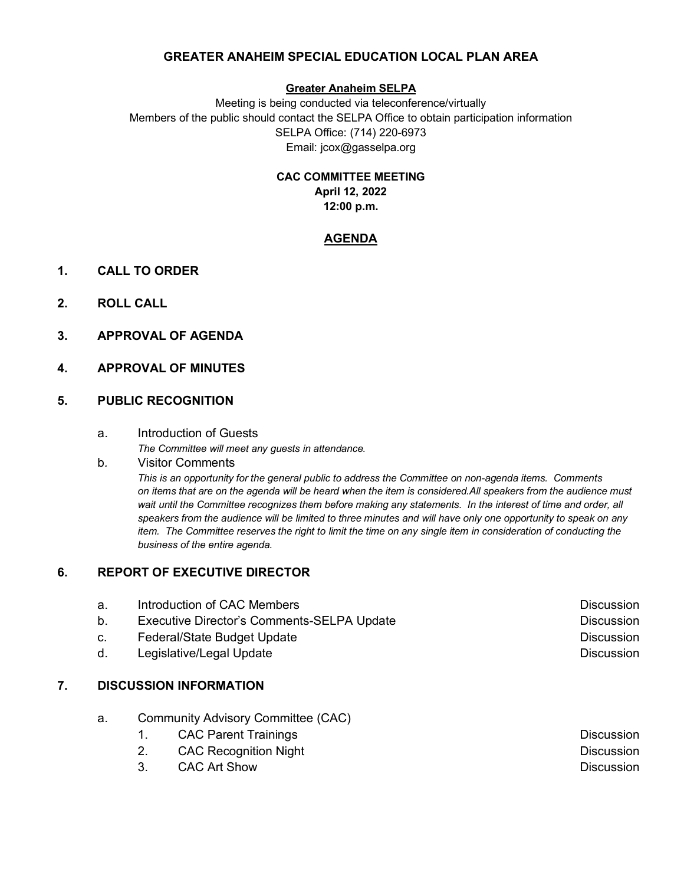# **GREATER ANAHEIM SPECIAL EDUCATION LOCAL PLAN AREA**

## **Greater Anaheim SELPA**

Meeting is being conducted via teleconference/virtually Members of the public should contact the SELPA Office to obtain participation information SELPA Office: (714) 220-6973 Email: jcox@gasselpa.org

#### **CAC COMMITTEE MEETING**

**April 12, 2022 12:00 p.m.**

# **AGENDA**

- **1. CALL TO ORDER**
- **2. ROLL CALL**
- **3. APPROVAL OF AGENDA**

# **4. APPROVAL OF MINUTES**

# **5. PUBLIC RECOGNITION**

#### a. Introduction of Guests

 *The Committee will meet any guests in attendance.*

#### b*.* Visitor Comments

*This is an opportunity for the general public to address the Committee on non-agenda items. Comments on items that are on the agenda will be heard when the item is considered.All speakers from the audience must wait until the Committee recognizes them before making any statements. In the interest of time and order, all speakers from the audience will be limited to three minutes and will have only one opportunity to speak on any item. The Committee reserves the right to limit the time on any single item in consideration of conducting the business of the entire agenda.* 

# **6. REPORT OF EXECUTIVE DIRECTOR**

| а. | Introduction of CAC Members                | <b>Discussion</b> |
|----|--------------------------------------------|-------------------|
| b. | Executive Director's Comments-SELPA Update | <b>Discussion</b> |
| C. | Federal/State Budget Update                | <b>Discussion</b> |
| d. | Legislative/Legal Update                   | <b>Discussion</b> |
|    |                                            |                   |

# **7. DISCUSSION INFORMATION**

- a. Community Advisory Committee (CAC)
	- 1. CAC Parent Trainings **Discussion** 
		- 2. CAC Recognition Night Discussion Discussion
		- 3. CAC Art Show Discussion